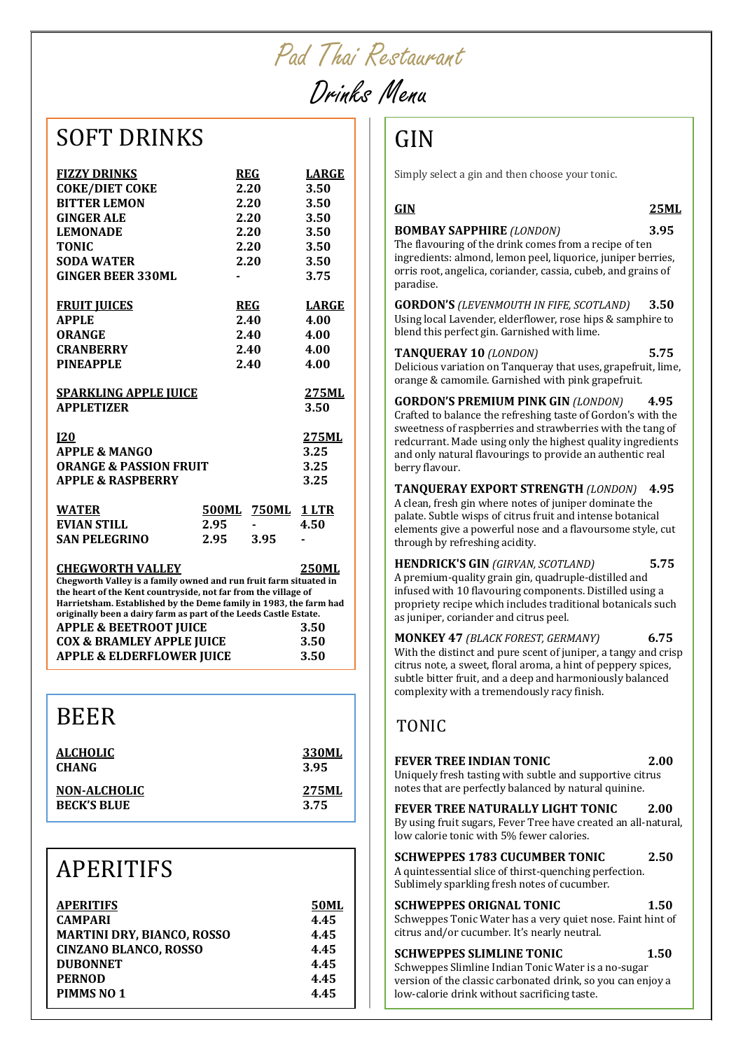Pad Thai Restaurant

# Drinks Menu

#### **SOFT DRINKS**

| <b>FIZZY DRINKS</b>                                                          |              | <b>REG</b> | <b>LARGE</b> |
|------------------------------------------------------------------------------|--------------|------------|--------------|
| <b>COKE/DIET COKE</b>                                                        |              | 2.20       | 3.50         |
| <b>BITTER LEMON</b>                                                          |              | 2.20       | 3.50         |
| <b>GINGER ALE</b>                                                            |              | 2.20       | 3.50         |
| <b>LEMONADE</b>                                                              |              | 2.20       | 3.50         |
| <b>TONIC</b>                                                                 |              | 2.20       | 3.50         |
| <b>SODA WATER</b>                                                            |              | 2.20       | 3.50         |
| <b>GINGER BEER 330ML</b>                                                     |              |            | 3.75         |
|                                                                              |              |            |              |
| <b>FRUIT JUICES</b>                                                          |              | REG        | <b>LARGE</b> |
| <b>APPLE</b>                                                                 |              | 2.40       | 4.00         |
| <b>ORANGE</b>                                                                |              | 2.40       | 4.00         |
| <b>CRANBERRY</b>                                                             |              | 2.40       | 4.00         |
| <b>PINEAPPLE</b>                                                             |              | 2.40       | 4.00         |
|                                                                              |              |            |              |
| <b>SPARKLING APPLE JUICE</b>                                                 |              |            | 275ML        |
| <b>APPLETIZER</b>                                                            |              |            | 3.50         |
|                                                                              |              |            |              |
| <u>120</u>                                                                   |              |            | 275ML        |
| <b>APPLE &amp; MANGO</b>                                                     |              |            | 3.25         |
| <b>ORANGE &amp; PASSION FRUIT</b>                                            |              |            | 3.25         |
| <b>APPLE &amp; RASPBERRY</b>                                                 |              |            | 3.25         |
|                                                                              |              |            |              |
| <b>WATER</b>                                                                 | <b>500ML</b> | 750ML      | <u>1 LTR</u> |
| EVIAN STILL                                                                  | 2.95         |            | 4.50         |
| <b>SAN PELEGRINO</b>                                                         | 2.95         | 3.95       |              |
| <b>CHEGWORTH VALLEY</b>                                                      |              |            | <b>250ML</b> |
| Chegworth Valley is a family owned and run fruit farm situated in            |              |            |              |
| the heart of the Kent countryside, not far from the village of               |              |            |              |
| Harrietsham. Established by the Deme family in 1983, the farm had            |              |            |              |
|                                                                              |              |            |              |
| originally been a dairy farm as part of the Leeds Castle Estate.             |              |            |              |
| <b>APPLE &amp; BEETROOT JUICE</b>                                            |              |            | 3.50         |
| <b>COX &amp; BRAMLEY APPLE JUICE</b><br><b>APPLE &amp; ELDERFLOWER JUICE</b> |              |            | 3.50<br>3.50 |

#### BEER

| <b>ALCHOLIC</b>     | 330ML |
|---------------------|-------|
| <b>CHANG</b>        | 3.95  |
| <b>NON-ALCHOLIC</b> | 275ML |
| <b>BECK'S BLUE</b>  | 3.75  |

#### APERITIFS

| <b>APERITIFS</b>                  | <b>50ML</b> |
|-----------------------------------|-------------|
| <b>CAMPARI</b>                    | 4.45        |
| <b>MARTINI DRY, BIANCO, ROSSO</b> | 4.45        |
| <b>CINZANO BLANCO, ROSSO</b>      | 4.45        |
| <b>DUBONNET</b>                   | 4.45        |
| <b>PERNOD</b>                     | 4.45        |
| PIMMS <sub>NO</sub> 1             | 4.45        |
|                                   |             |

### GIN

Simply select a gin and then choose your tonic.

#### **GIN 25ML**

#### **BOMBAY SAPPHIRE** *(LONDON)* 3.95

The flavouring of the drink comes from a recipe of ten ingredients: almond, lemon peel, liquorice, juniper berries, orris root, angelica, coriander, cassia, cubeb, and grains of paradise.

**GORDON'S** *(LEVENMOUTH IN FIFE, SCOTLAND)* **3.50** Using local Lavender, elderflower, rose hips & samphire to blend this perfect gin. Garnished with lime.

#### **TANOUERAY 10** *(LONDON)* 5.75

Delicious variation on Tanqueray that uses, grapefruit, lime, orange & camomile. Garnished with pink grapefruit.

GORDON'S PREMIUM PINK GIN *(LONDON)* 4.95 Crafted to balance the refreshing taste of Gordon's with the sweetness of raspberries and strawberries with the tang of redcurrant. Made using only the highest quality ingredients and only natural flavourings to provide an authentic real berry flavour.

TANQUERAY EXPORT STRENGTH *(LONDON)* 4.95 A clean, fresh gin where notes of juniper dominate the palate. Subtle wisps of citrus fruit and intense botanical elements give a powerful nose and a flavoursome style, cut through by refreshing acidity.

**HENDRICK'S GIN** (GIRVAN, SCOTLAND) **5.75** A premium-quality grain gin, quadruple-distilled and infused with 10 flavouring components. Distilled using a propriety recipe which includes traditional botanicals such as juniper, coriander and citrus peel.

**MONKEY 47** (BLACK FOREST, GERMANY) 6.75 With the distinct and pure scent of juniper, a tangy and crisp citrus note, a sweet, floral aroma, a hint of peppery spices, subtle bitter fruit, and a deep and harmoniously balanced complexity with a tremendously racy finish.

#### TONIC

| 2.00                                                                                                                       |
|----------------------------------------------------------------------------------------------------------------------------|
| Uniquely fresh tasting with subtle and supportive citrus<br>notes that are perfectly balanced by natural quinine.          |
| 2.00<br>By using fruit sugars, Fever Tree have created an all-natural,                                                     |
| 2.50<br>A quintessential slice of thirst-quenching perfection.                                                             |
| 1.50<br>Schweppes Tonic Water has a very quiet nose. Faint hint of                                                         |
| 1.50<br>Schweppes Slimline Indian Tonic Water is a no-sugar<br>version of the classic carbonated drink, so you can enjoy a |
|                                                                                                                            |

low-calorie drink without sacrificing taste.